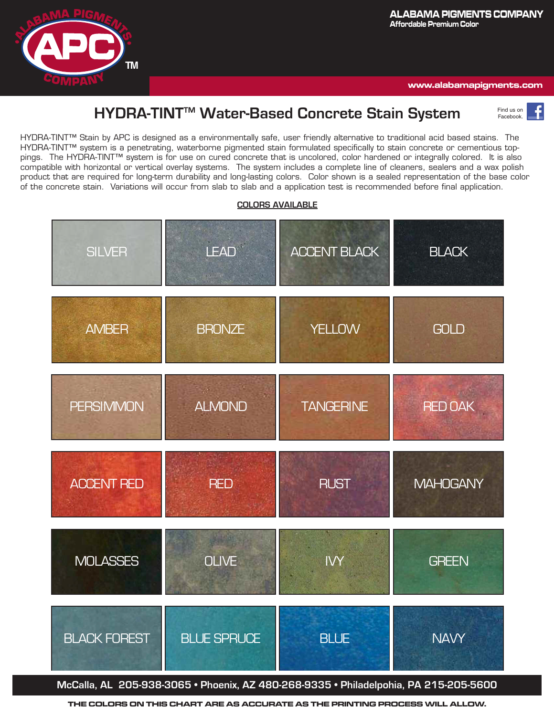

**www.alabamapigments.com**

# **HYDRA-TINTTM Water-Based Concrete Stain System**

Find us on Facebook.

HYDRA-TINT™Stain by APC is designed as a environmentally safe, user friendly alternative to traditional acid based stains. The HYDRA-TINT™system HYDRA-TINT™ Stain by APC is designed as a environmentally safe, user friendly alternative to traditional acid based stains. The HYDRA-TINT™ system is a penetrating, waterborne pigmented stain formulated specifically to stain concrete or cementious topoings. The HYDRA-TINT''" system is for use on cured concrete that is uncolored, color hardened or integrally colored. Tt is also compatible with horizontal or vertical overlay systems. The system includes a complete line of cleaners, sealers and a wax polish product that are required for io of the concrete stain. Variations will occur from slab to slab and a application test is recommended before final application. pings. The HYDRA-TINT™ system is for use on cured concrete that is uncolored, color hardened or integrally colored. It is also compatible with horizontal or vertical overlay systems. The system includes a complete line of cleaners, sealers and a wax polish product that are required for long-term durability and long-lasting colors. Color shown is a sealed representation of the base color



## **COLORS AVAILABLE**

**THE COLORS ON THIS CHART ARE AS ACCURATE AS THE PRINTING PROCESS WILL ALLOW.**